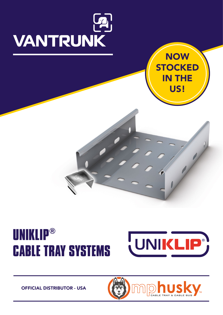



## **UNIKLIP® CABLE TRAY SYSTEMS**



OFFICIAL DISTRIBUTOR - USA

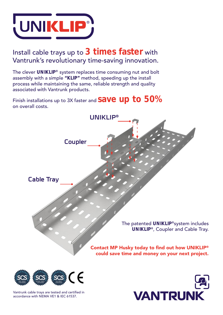

### Install cable trays up to 3 times faster with Vantrunk's revolutionary time-saving innovation.

The clever UNIKLIP® system replaces time consuming nut and bolt assembly with a simple "KLIP" method, speeding up the install process while maintaining the same, reliable strength and quality associated with Vantrunk products.

Finish installations up to 3X faster and  $\text{save }$  Up to  $50\%$ on overall costs.





Vantrunk cable trays are tested and certified in accordance with NEMA VE1 & IEC 61537.

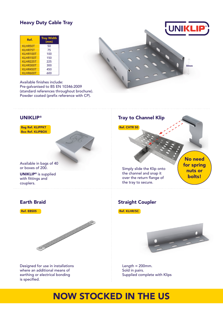#### Heavy Duty Cable Tray

| Ref.             | <b>Tray Width</b><br>(mm) |
|------------------|---------------------------|
| KLHR50T          | 50                        |
| KLHR75T          | 75                        |
| KLHR100T         | 100                       |
| <b>KI HR150T</b> | 150                       |
| KLHR225T         | 225                       |
| KLHR300T         | 300                       |
| KLHR450T         | 450                       |
| KLHR600T         | 600                       |

Available finishes include: Pre-galvanised to BS EN 10346:2009 (standard references throughout brochure). Powder coated (prefix reference with CP).

#### UNIKLIP®

Bag Ref. KLIPPKT Box Ref. KLIPBOX

Available in bags of 40 or boxes of 200.

UNIKLIP® is supplied with fittings and couplers.

#### Earth Braid

Ref. EBS05



Designed for use in installations where an additional means of earthing or electrical bonding is specified.

#### Tray to Channel Klip



Simply slide the Klip onto the channel and snap it over the return flange of the tray to secure.

Straight Coupler

Ref. KLHR/SC



Length  $= 200$ mm. Sold in pairs. Supplied complete with Klips

### NOW STOCKED IN THE US



 $50<sub>m</sub>$ 

No need for spring nuts or bolts!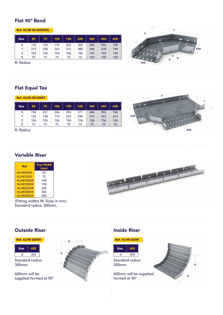#### Flat 90° Bend

Ref. KLHR 50-600FB90

| <b>Size</b> | 50  | 75  | 100 | 150 | 225 | 300 | 450 | 600 |
|-------------|-----|-----|-----|-----|-----|-----|-----|-----|
| X           | 125 | 150 | 175 | 225 | 300 | 400 | 550 | 700 |
| v           | 213 | 238 | 263 | 313 | 388 | 488 | 638 | 788 |
| z           | 106 | 106 | 106 | 106 | 106 | 142 | 142 | 142 |
| R           | 75  | 75  | 75  | 75  | 75  | 100 | 100 | 100 |

R: Radius

#### Flat Equal Tee

Ref. KLHR 50-600ET

| <b>Size</b> | 50  | 75  | 100 | 150 | 225 | 300 | 450 | 600 |
|-------------|-----|-----|-----|-----|-----|-----|-----|-----|
| X           | 196 | 221 | 246 | 296 | 371 | 446 | 596 | 746 |
| Y           | 123 | 148 | 173 | 223 | 298 | 373 | 523 | 673 |
| 7           | 106 | 106 | 106 | 106 | 106 | 106 | 106 | 106 |
| R           | 75  | 75  | 75  | 75  | 75  | 75  | 75  | 75  |

R: Radius



Z

 $\mathsf{R} \subset \mathsf{R}$ 

Y

SIZE

X

SIZE

#### Variable Riser

| Ref.              | <b>Tray Width</b><br>(mm) |
|-------------------|---------------------------|
| KI HR50VR         | 50                        |
| <b>KLHR75VR</b>   | 75                        |
| KI HR100VR        | 100                       |
| <b>KI HR150VR</b> | 150                       |
| KI HR225VR        | 225                       |
| KLHR300VR         | 300                       |
| KLHR450VR         | 450                       |

(Fitting widths W. Sizes in mm) Standard radius: 300mm.



#### Outside Riser

|  | <b>Ref. KLHR 600ER</b> |  |
|--|------------------------|--|
|  |                        |  |

| <b>Size</b> | 600 |
|-------------|-----|
|             | 350 |

Standard radius: 300mm.

600mm will be supplied formed at 90°



#### Inside Riser



| <b>Size</b> | 600 |  |
|-------------|-----|--|
|             | 300 |  |

Standard radius: 300mm.

600mm will be supplied formed at 90°